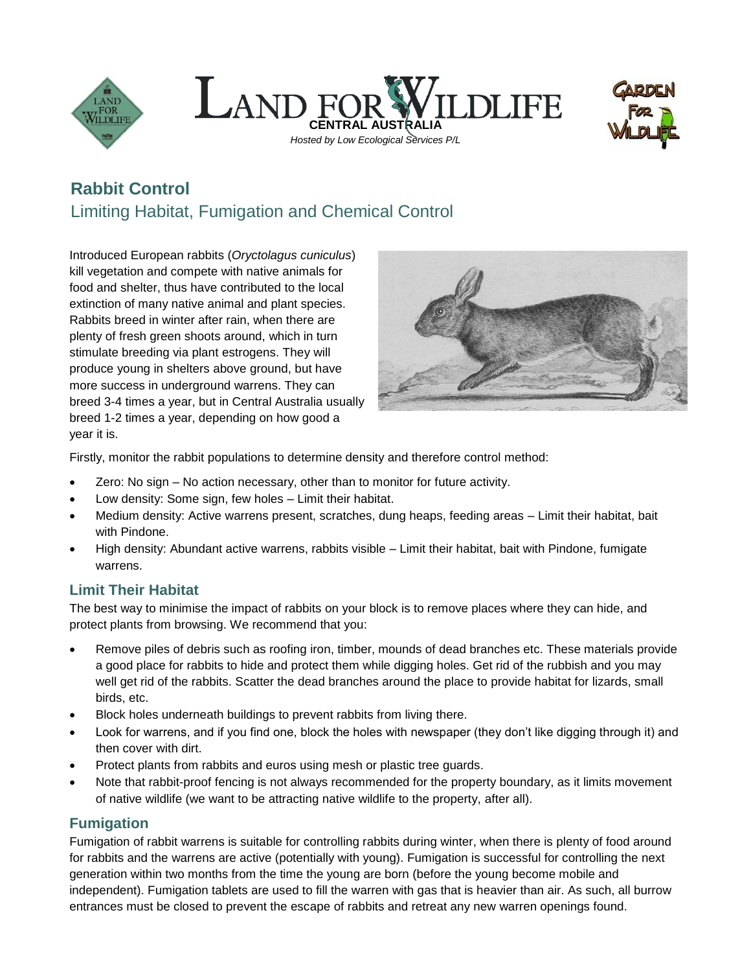





# **Rabbit Control** Limiting Habitat, Fumigation and Chemical Control

Introduced European rabbits (*Oryctolagus cuniculus*) kill vegetation and compete with native animals for food and shelter, thus have contributed to the local extinction of many native animal and plant species. Rabbits breed in winter after rain, when there are plenty of fresh green shoots around, which in turn stimulate breeding via plant estrogens. They will produce young in shelters above ground, but have more success in underground warrens. They can breed 3-4 times a year, but in Central Australia usually breed 1-2 times a year, depending on how good a year it is.



Firstly, monitor the rabbit populations to determine density and therefore control method:

- Zero: No sign No action necessary, other than to monitor for future activity.
- Low density: Some sign, few holes Limit their habitat.
- Medium density: Active warrens present, scratches, dung heaps, feeding areas Limit their habitat, bait with Pindone.
- High density: Abundant active warrens, rabbits visible Limit their habitat, bait with Pindone, fumigate warrens.

### **Limit Their Habitat**

The best way to minimise the impact of rabbits on your block is to remove places where they can hide, and protect plants from browsing. We recommend that you:

- Remove piles of debris such as roofing iron, timber, mounds of dead branches etc. These materials provide a good place for rabbits to hide and protect them while digging holes. Get rid of the rubbish and you may well get rid of the rabbits. Scatter the dead branches around the place to provide habitat for lizards, small birds, etc.
- Block holes underneath buildings to prevent rabbits from living there.
- Look for warrens, and if you find one, block the holes with newspaper (they don't like digging through it) and then cover with dirt.
- Protect plants from rabbits and euros using mesh or plastic tree guards.
- Note that rabbit-proof fencing is not always recommended for the property boundary, as it limits movement of native wildlife (we want to be attracting native wildlife to the property, after all).

## **Fumigation**

Fumigation of rabbit warrens is suitable for controlling rabbits during winter, when there is plenty of food around for rabbits and the warrens are active (potentially with young). Fumigation is successful for controlling the next generation within two months from the time the young are born (before the young become mobile and independent). Fumigation tablets are used to fill the warren with gas that is heavier than air. As such, all burrow entrances must be closed to prevent the escape of rabbits and retreat any new warren openings found.